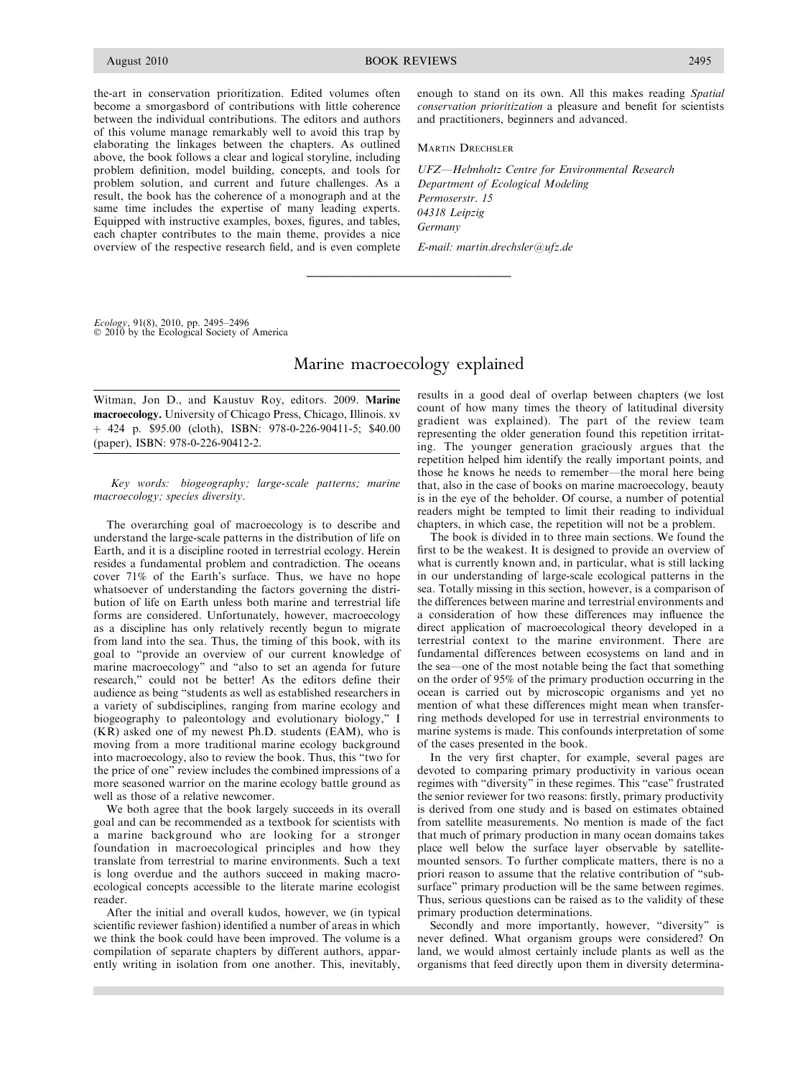the-art in conservation prioritization. Edited volumes often become a smorgasbord of contributions with little coherence between the individual contributions. The editors and authors of this volume manage remarkably well to avoid this trap by elaborating the linkages between the chapters. As outlined above, the book follows a clear and logical storyline, including problem definition, model building, concepts, and tools for problem solution, and current and future challenges. As a result, the book has the coherence of a monograph and at the same time includes the expertise of many leading experts. Equipped with instructive examples, boxes, figures, and tables, each chapter contributes to the main theme, provides a nice overview of the respective research field, and is even complete enough to stand on its own. All this makes reading Spatial conservation prioritization a pleasure and benefit for scientists and practitioners, beginners and advanced.

**MARTIN DRECHSLER** 

UFZ—Helmholtz Centre for Environmental Research Department of Ecological Modeling Permoserstr. 15 04318 Leipzig Germany

E-mail: martin.drechsler@ufz.de

Ecology, 91(8), 2010, pp. 2495–2496<br>© 2010 by the Ecological Society of America

## Marine macroecology explained

\_\_\_\_\_\_\_\_\_\_\_\_\_\_\_\_\_\_\_\_\_\_\_\_\_\_\_\_\_\_\_\_

Witman, Jon D., and Kaustuv Roy, editors. 2009. Marine macroecology. University of Chicago Press, Chicago, Illinois. xv þ 424 p. \$95.00 (cloth), ISBN: 978-0-226-90411-5; \$40.00 (paper), ISBN: 978-0-226-90412-2.

Key words: biogeography; large-scale patterns; marine macroecology; species diversity.

The overarching goal of macroecology is to describe and understand the large-scale patterns in the distribution of life on Earth, and it is a discipline rooted in terrestrial ecology. Herein resides a fundamental problem and contradiction. The oceans cover 71% of the Earth's surface. Thus, we have no hope whatsoever of understanding the factors governing the distribution of life on Earth unless both marine and terrestrial life forms are considered. Unfortunately, however, macroecology as a discipline has only relatively recently begun to migrate from land into the sea. Thus, the timing of this book, with its goal to ''provide an overview of our current knowledge of marine macroecology'' and ''also to set an agenda for future research,'' could not be better! As the editors define their audience as being ''students as well as established researchers in a variety of subdisciplines, ranging from marine ecology and biogeography to paleontology and evolutionary biology,'' I (KR) asked one of my newest Ph.D. students (EAM), who is moving from a more traditional marine ecology background into macroecology, also to review the book. Thus, this ''two for the price of one'' review includes the combined impressions of a more seasoned warrior on the marine ecology battle ground as well as those of a relative newcomer.

We both agree that the book largely succeeds in its overall goal and can be recommended as a textbook for scientists with a marine background who are looking for a stronger foundation in macroecological principles and how they translate from terrestrial to marine environments. Such a text is long overdue and the authors succeed in making macroecological concepts accessible to the literate marine ecologist reader.

After the initial and overall kudos, however, we (in typical scientific reviewer fashion) identified a number of areas in which we think the book could have been improved. The volume is a compilation of separate chapters by different authors, apparently writing in isolation from one another. This, inevitably, results in a good deal of overlap between chapters (we lost count of how many times the theory of latitudinal diversity gradient was explained). The part of the review team representing the older generation found this repetition irritating. The younger generation graciously argues that the repetition helped him identify the really important points, and those he knows he needs to remember—the moral here being that, also in the case of books on marine macroecology, beauty is in the eye of the beholder. Of course, a number of potential readers might be tempted to limit their reading to individual chapters, in which case, the repetition will not be a problem.

The book is divided in to three main sections. We found the first to be the weakest. It is designed to provide an overview of what is currently known and, in particular, what is still lacking in our understanding of large-scale ecological patterns in the sea. Totally missing in this section, however, is a comparison of the differences between marine and terrestrial environments and a consideration of how these differences may influence the direct application of macroecological theory developed in a terrestrial context to the marine environment. There are fundamental differences between ecosystems on land and in the sea—one of the most notable being the fact that something on the order of 95% of the primary production occurring in the ocean is carried out by microscopic organisms and yet no mention of what these differences might mean when transferring methods developed for use in terrestrial environments to marine systems is made. This confounds interpretation of some of the cases presented in the book.

In the very first chapter, for example, several pages are devoted to comparing primary productivity in various ocean regimes with ''diversity'' in these regimes. This ''case'' frustrated the senior reviewer for two reasons: firstly, primary productivity is derived from one study and is based on estimates obtained from satellite measurements. No mention is made of the fact that much of primary production in many ocean domains takes place well below the surface layer observable by satellitemounted sensors. To further complicate matters, there is no a priori reason to assume that the relative contribution of ''subsurface" primary production will be the same between regimes. Thus, serious questions can be raised as to the validity of these primary production determinations.

Secondly and more importantly, however, "diversity" is never defined. What organism groups were considered? On land, we would almost certainly include plants as well as the organisms that feed directly upon them in diversity determina